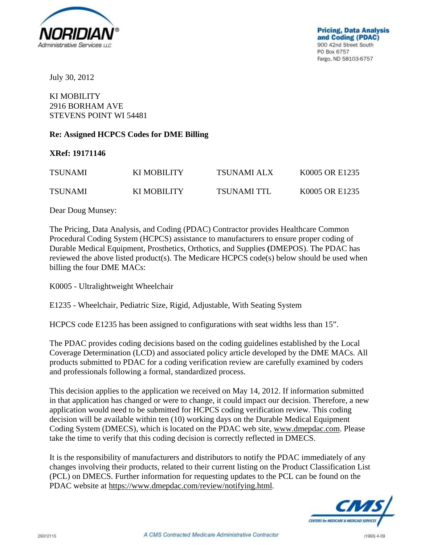

July 30, 2012

## KI MOBILITY 2916 BORHAM AVE STEVENS POINT WI 54481

## **Re: Assigned HCPCS Codes for DME Billing**

**XRef: 19171146** 

| <b>TSUNAMI</b> | KI MOBILITY | TSUNAMI ALX | K0005 OR E1235 |
|----------------|-------------|-------------|----------------|
| <b>TSUNAMI</b> | KI MOBILITY | TSUNAMI TTL | K0005 OR E1235 |

Dear Doug Munsey:

The Pricing, Data Analysis, and Coding (PDAC) Contractor provides Healthcare Common Procedural Coding System (HCPCS) assistance to manufacturers to ensure proper coding of Durable Medical Equipment, Prosthetics, Orthotics, and Supplies **(**DMEPOS). The PDAC has reviewed the above listed product(s). The Medicare HCPCS code(s) below should be used when billing the four DME MACs:

K0005 - Ultralightweight Wheelchair

E1235 - Wheelchair, Pediatric Size, Rigid, Adjustable, With Seating System

HCPCS code E1235 has been assigned to configurations with seat widths less than 15".

The PDAC provides coding decisions based on the coding guidelines established by the Local Coverage Determination (LCD) and associated policy article developed by the DME MACs. All products submitted to PDAC for a coding verification review are carefully examined by coders and professionals following a formal, standardized process.

This decision applies to the application we received on May 14, 2012. If information submitted in that application has changed or were to change, it could impact our decision. Therefore, a new application would need to be submitted for HCPCS coding verification review. This coding decision will be available within ten (10) working days on the Durable Medical Equipment Coding System (DMECS), which is located on the PDAC web site, www.dmepdac.com. Please take the time to verify that this coding decision is correctly reflected in DMECS.

It is the responsibility of manufacturers and distributors to notify the PDAC immediately of any changes involving their products, related to their current listing on the Product Classification List (PCL) on DMECS. Further information for requesting updates to the PCL can be found on the PDAC website at https://www.dmepdac.com/review/notifying.html.